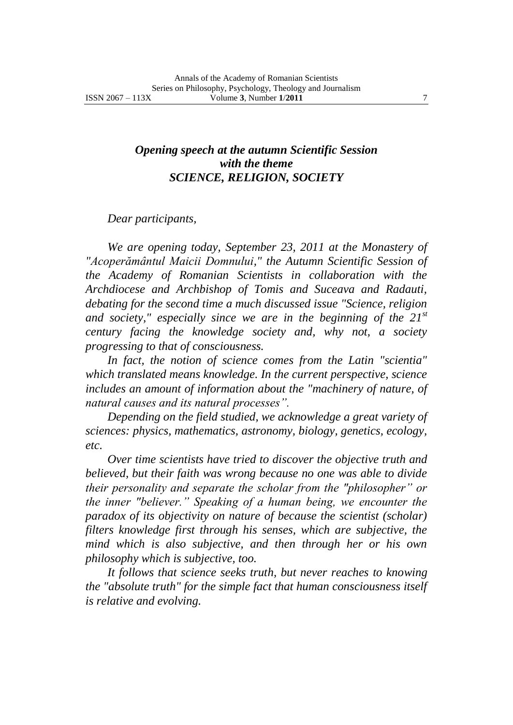## *Opening speech at the autumn Scientific Session with the theme SCIENCE, RELIGION, SOCIETY*

## *Dear participants,*

*We are opening today, September 23, 2011 at the Monastery of "Acoperământul Maicii Domnului," the Autumn Scientific Session of the Academy of Romanian Scientists in collaboration with the Archdiocese and Archbishop of Tomis and Suceava and Radauti, debating for the second time a much discussed issue "Science, religion and society," especially since we are in the beginning of the 21st century facing the knowledge society and, why not, a society progressing to that of consciousness.*

*In fact, the notion of science comes from the Latin "scientia" which translated means knowledge. In the current perspective, science*  includes an amount of information about the "machinery of nature, of *natural causes and its natural processes".*

*Depending on the field studied, we acknowledge a great variety of sciences: physics, mathematics, astronomy, biology, genetics, ecology, etc.*

*Over time scientists have tried to discover the objective truth and believed, but their faith was wrong because no one was able to divide their personality and separate the scholar from the "philosopher" or the inner "believer." Speaking of a human being, we encounter the paradox of its objectivity on nature of because the scientist (scholar) filters knowledge first through his senses, which are subjective, the mind which is also subjective, and then through her or his own philosophy which is subjective, too.*

*It follows that science seeks truth, but never reaches to knowing the "absolute truth" for the simple fact that human consciousness itself is relative and evolving.*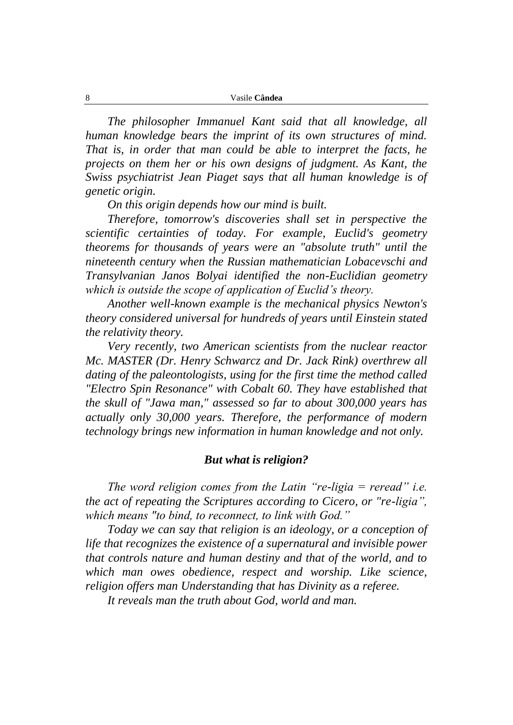*The philosopher Immanuel Kant said that all knowledge, all human knowledge bears the imprint of its own structures of mind. That is, in order that man could be able to interpret the facts, he projects on them her or his own designs of judgment. As Kant, the Swiss psychiatrist Jean Piaget says that all human knowledge is of genetic origin.*

*On this origin depends how our mind is built.*

*Therefore, tomorrow's discoveries shall set in perspective the scientific certainties of today. For example, Euclid's geometry theorems for thousands of years were an "absolute truth" until the nineteenth century when the Russian mathematician Lobacevschi and Transylvanian Janos Bolyai identified the non-Euclidian geometry which is outside the scope of application of Euclid's theory.*

*Another well-known example is the mechanical physics Newton's theory considered universal for hundreds of years until Einstein stated the relativity theory.*

*Very recently, two American scientists from the nuclear reactor Mc. MASTER (Dr. Henry Schwarcz and Dr. Jack Rink) overthrew all dating of the paleontologists, using for the first time the method called "Electro Spin Resonance" with Cobalt 60. They have established that the skull of "Jawa man," assessed so far to about 300,000 years has actually only 30,000 years. Therefore, the performance of modern technology brings new information in human knowledge and not only.*

## *But what is religion?*

*The word religion comes from the Latin "re-ligia = reread" i.e. the act of repeating the Scriptures according to Cicero, or "re-ligia", which means "to bind, to reconnect, to link with God."*

*Today we can say that religion is an ideology, or a conception of life that recognizes the existence of a supernatural and invisible power that controls nature and human destiny and that of the world, and to which man owes obedience, respect and worship. Like science, religion offers man Understanding that has Divinity as a referee.*

*It reveals man the truth about God, world and man.*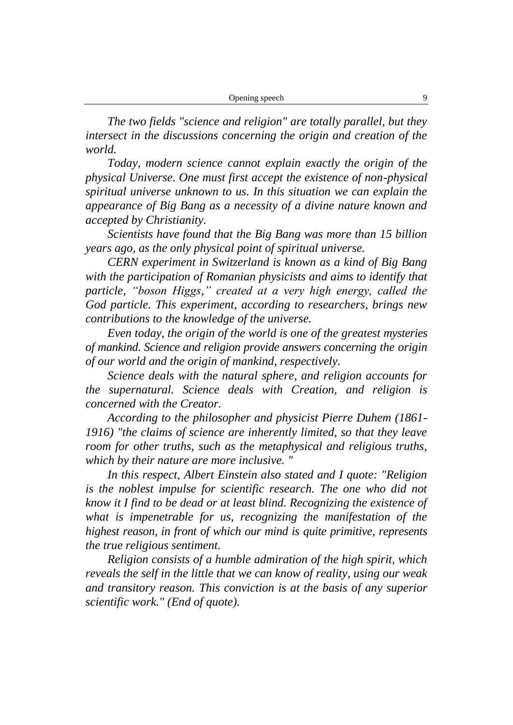| Opening speech |  |  |
|----------------|--|--|
|----------------|--|--|

*The two fields "science and religion" are totally parallel, but they intersect in the discussions concerning the origin and creation of the world.*

*Today, modern science cannot explain exactly the origin of the physical Universe. One must first accept the existence of non-physical spiritual universe unknown to us. In this situation we can explain the appearance of Big Bang as a necessity of a divine nature known and accepted by Christianity.*

*Scientists have found that the Big Bang was more than 15 billion years ago, as the only physical point of spiritual universe.*

*CERN experiment in Switzerland is known as a kind of Big Bang with the participation of Romanian physicists and aims to identify that particle, "boson Higgs," created at a very high energy, called the God particle. This experiment, according to researchers, brings new contributions to the knowledge of the universe.*

*Even today, the origin of the world is one of the greatest mysteries of mankind. Science and religion provide answers concerning the origin of our world and the origin of mankind, respectively.*

*Science deals with the natural sphere, and religion accounts for the supernatural. Science deals with Creation, and religion is concerned with the Creator.*

*According to the philosopher and physicist Pierre Duhem (1861- 1916) "the claims of science are inherently limited, so that they leave room for other truths, such as the metaphysical and religious truths, which by their nature are more inclusive. "*

*In this respect, Albert Einstein also stated and I quote: "Religion*  is the noblest impulse for scientific research. The one who did not *know it I find to be dead or at least blind. Recognizing the existence of what is impenetrable for us, recognizing the manifestation of the highest reason, in front of which our mind is quite primitive, represents the true religious sentiment.*

*Religion consists of a humble admiration of the high spirit, which reveals the self in the little that we can know of reality, using our weak and transitory reason. This conviction is at the basis of any superior scientific work." (End of quote).*